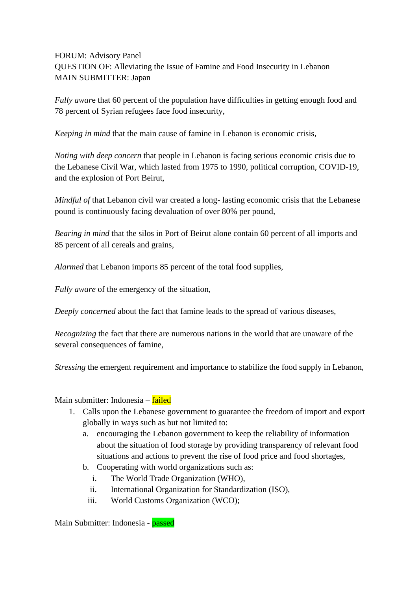FORUM: Advisory Panel QUESTION OF: Alleviating the Issue of Famine and Food Insecurity in Lebanon MAIN SUBMITTER: Japan

*Fully awar*e that 60 percent of the population have difficulties in getting enough food and 78 percent of Syrian refugees face food insecurity,

*Keeping in mind* that the main cause of famine in Lebanon is economic crisis,

*Noting with deep concern* that people in Lebanon is facing serious economic crisis due to the Lebanese Civil War, which lasted from 1975 to 1990, political corruption, COVID-19, and the explosion of Port Beirut,

*Mindful of that Lebanon civil war created a long-lasting economic crisis that the Lebanese* pound is continuously facing devaluation of over 80% per pound,

*Bearing in mind* that the silos in Port of Beirut alone contain 60 percent of all imports and 85 percent of all cereals and grains,

*Alarmed* that Lebanon imports 85 percent of the total food supplies,

*Fully aware* of the emergency of the situation,

*Deeply concerned* about the fact that famine leads to the spread of various diseases,

*Recognizing* the fact that there are numerous nations in the world that are unaware of the several consequences of famine,

*Stressing* the emergent requirement and importance to stabilize the food supply in Lebanon,

Main submitter: Indonesia – failed

- 1. Calls upon the Lebanese government to guarantee the freedom of import and export globally in ways such as but not limited to:
	- a. encouraging the Lebanon government to keep the reliability of information about the situation of food storage by providing transparency of relevant food situations and actions to prevent the rise of food price and food shortages,
	- b. Cooperating with world organizations such as:
		- i. The World Trade Organization (WHO),
		- ii. International Organization for Standardization (ISO),
		- iii. World Customs Organization (WCO);

Main Submitter: Indonesia - passed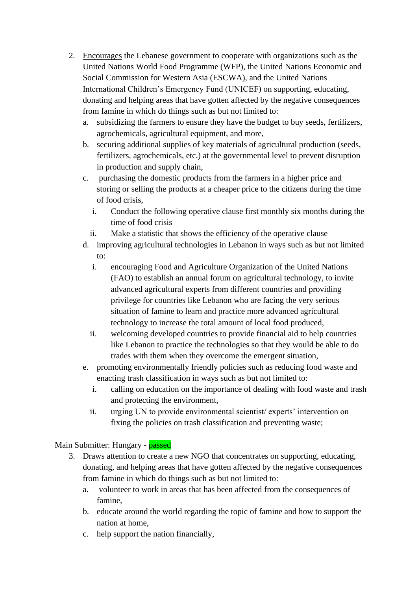- 2. Encourages the Lebanese government to cooperate with organizations such as the United Nations World Food Programme (WFP), the United Nations Economic and Social Commission for Western Asia (ESCWA), and the United Nations International Children's Emergency Fund (UNICEF) on supporting, educating, donating and helping areas that have gotten affected by the negative consequences from famine in which do things such as but not limited to:
	- a. subsidizing the farmers to ensure they have the budget to buy seeds, fertilizers, agrochemicals, agricultural equipment, and more,
	- b. securing additional supplies of key materials of agricultural production (seeds, fertilizers, agrochemicals, etc.) at the governmental level to prevent disruption in production and supply chain,
	- c. purchasing the domestic products from the farmers in a higher price and storing or selling the products at a cheaper price to the citizens during the time of food crisis,
		- i. Conduct the following operative clause first monthly six months during the time of food crisis
		- ii. Make a statistic that shows the efficiency of the operative clause
	- d. improving agricultural technologies in Lebanon in ways such as but not limited to:
		- i. encouraging Food and Agriculture Organization of the United Nations (FAO) to establish an annual forum on agricultural technology, to invite advanced agricultural experts from different countries and providing privilege for countries like Lebanon who are facing the very serious situation of famine to learn and practice more advanced agricultural technology to increase the total amount of local food produced,
		- ii. welcoming developed countries to provide financial aid to help countries like Lebanon to practice the technologies so that they would be able to do trades with them when they overcome the emergent situation,
	- e. promoting environmentally friendly policies such as reducing food waste and enacting trash classification in ways such as but not limited to:
		- i. calling on education on the importance of dealing with food waste and trash and protecting the environment,
		- ii. urging UN to provide environmental scientist/ experts' intervention on fixing the policies on trash classification and preventing waste;

Main Submitter: Hungary - passed

- 3. Draws attention to create a new NGO that concentrates on supporting, educating, donating, and helping areas that have gotten affected by the negative consequences from famine in which do things such as but not limited to:
	- a. volunteer to work in areas that has been affected from the consequences of famine,
	- b. educate around the world regarding the topic of famine and how to support the nation at home,
	- c. help support the nation financially,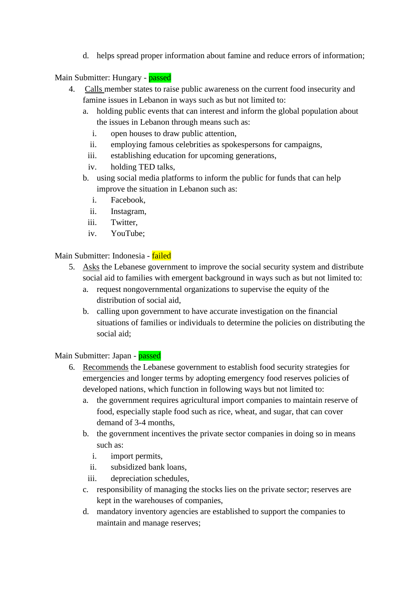d. helps spread proper information about famine and reduce errors of information;

Main Submitter: Hungary - passed

- 4. Calls member states to raise public awareness on the current food insecurity and famine issues in Lebanon in ways such as but not limited to:
	- a. holding public events that can interest and inform the global population about the issues in Lebanon through means such as:
		- i. open houses to draw public attention,
		- ii. employing famous celebrities as spokespersons for campaigns,
		- iii. establishing education for upcoming generations,
		- iv. holding TED talks,
	- b. using social media platforms to inform the public for funds that can help improve the situation in Lebanon such as:
		- i. Facebook,
		- ii. Instagram,
		- iii. Twitter,
		- iv. YouTube;

Main Submitter: Indonesia - failed

- 5. Asks the Lebanese government to improve the social security system and distribute social aid to families with emergent background in ways such as but not limited to:
	- a. request nongovernmental organizations to supervise the equity of the distribution of social aid,
	- b. calling upon government to have accurate investigation on the financial situations of families or individuals to determine the policies on distributing the social aid;

## Main Submitter: Japan - passed

- 6. Recommends the Lebanese government to establish food security strategies for emergencies and longer terms by adopting emergency food reserves policies of developed nations, which function in following ways but not limited to:
	- a. the government requires agricultural import companies to maintain reserve of food, especially staple food such as rice, wheat, and sugar, that can cover demand of 3-4 months,
	- b. the government incentives the private sector companies in doing so in means such as:
		- i. import permits,
		- ii. subsidized bank loans,
		- iii. depreciation schedules,
	- c. responsibility of managing the stocks lies on the private sector; reserves are kept in the warehouses of companies,
	- d. mandatory inventory agencies are established to support the companies to maintain and manage reserves;